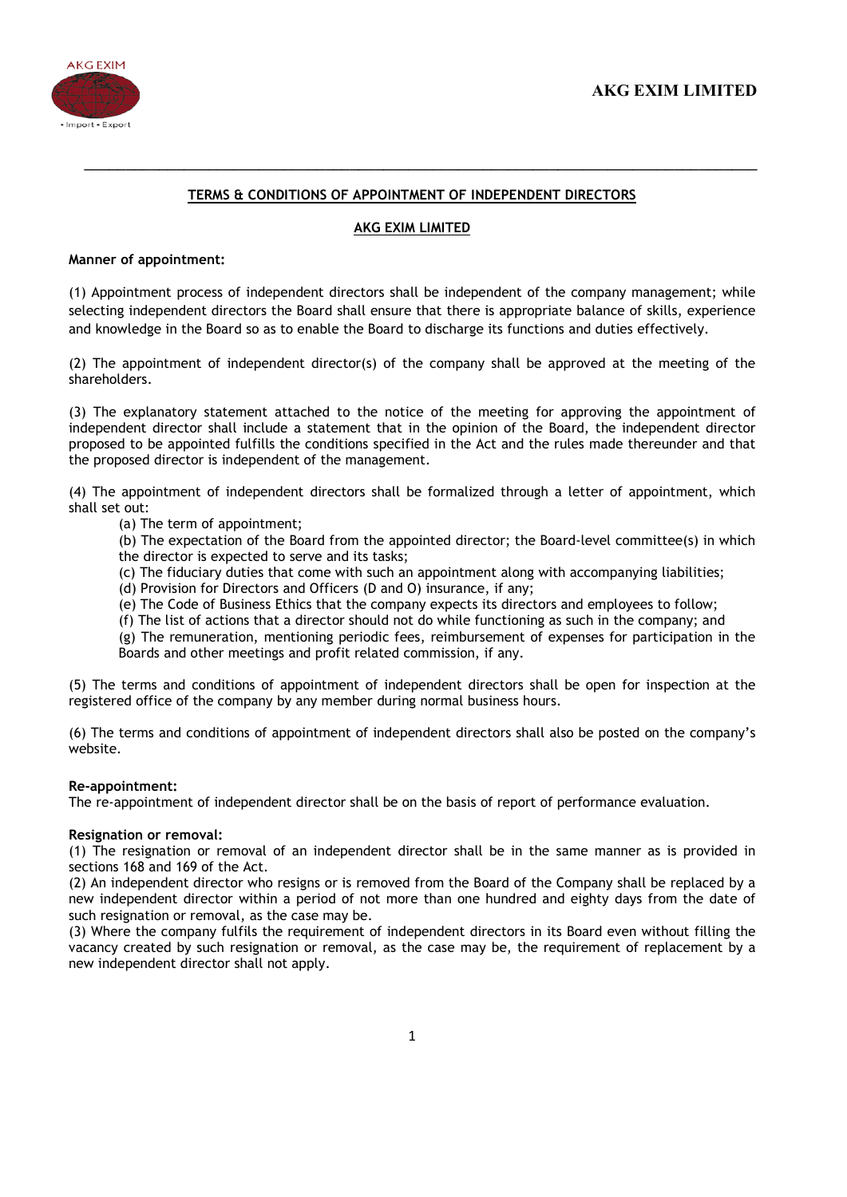

# TERMS & CONDITIONS OF APPOINTMENT OF INDEPENDENT DIRECTORS

\_\_\_\_\_\_\_\_\_\_\_\_\_\_\_\_\_\_\_\_\_\_\_\_\_\_\_\_\_\_\_\_\_\_\_\_\_\_\_\_\_\_\_\_\_\_\_\_\_\_\_\_\_\_\_\_\_\_\_\_\_\_\_\_\_\_\_\_\_\_\_\_\_\_\_\_\_\_\_\_\_

# AKG EXIM LIMITED

### Manner of appointment:

(1) Appointment process of independent directors shall be independent of the company management; while selecting independent directors the Board shall ensure that there is appropriate balance of skills, experience and knowledge in the Board so as to enable the Board to discharge its functions and duties effectively.

(2) The appointment of independent director(s) of the company shall be approved at the meeting of the shareholders.

(3) The explanatory statement attached to the notice of the meeting for approving the appointment of independent director shall include a statement that in the opinion of the Board, the independent director proposed to be appointed fulfills the conditions specified in the Act and the rules made thereunder and that the proposed director is independent of the management.

(4) The appointment of independent directors shall be formalized through a letter of appointment, which shall set out:

- (a) The term of appointment;
- (b) The expectation of the Board from the appointed director; the Board-level committee(s) in which the director is expected to serve and its tasks;
- (c) The fiduciary duties that come with such an appointment along with accompanying liabilities;
- (d) Provision for Directors and Officers (D and O) insurance, if any;
- (e) The Code of Business Ethics that the company expects its directors and employees to follow;
- (f) The list of actions that a director should not do while functioning as such in the company; and

(g) The remuneration, mentioning periodic fees, reimbursement of expenses for participation in the Boards and other meetings and profit related commission, if any.

(5) The terms and conditions of appointment of independent directors shall be open for inspection at the registered office of the company by any member during normal business hours.

(6) The terms and conditions of appointment of independent directors shall also be posted on the company's website.

#### Re-appointment:

The re-appointment of independent director shall be on the basis of report of performance evaluation.

# Resignation or removal:

(1) The resignation or removal of an independent director shall be in the same manner as is provided in sections 168 and 169 of the Act.

(2) An independent director who resigns or is removed from the Board of the Company shall be replaced by a new independent director within a period of not more than one hundred and eighty days from the date of such resignation or removal, as the case may be.

(3) Where the company fulfils the requirement of independent directors in its Board even without filling the vacancy created by such resignation or removal, as the case may be, the requirement of replacement by a new independent director shall not apply.